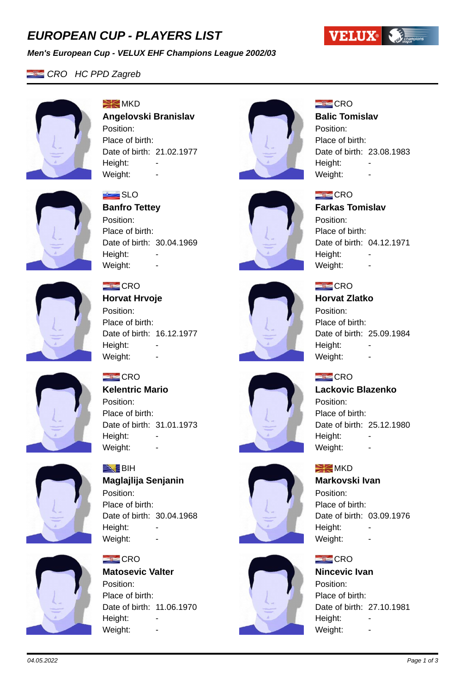# *EUROPEAN CUP - PLAYERS LIST*

### *Men's European Cup - VELUX EHF Champions League 2002/03*

# *CRO HC PPD Zagreb*



 $\geq$  MKD **Angelovski Branislav** Position: Place of birth: Date of birth: 21.02.1977 Height: Weight:



### **Balic Tomislav**

Position: Place of birth: Date of birth: 23.08.1983 Height: Weight:

Date of birth: 04.12.1971



# **SLO**

**Banfro Tettey** Position: Place of birth: Date of birth: 30.04.1969 Height: Weight: -



# $=$  CRO

**Horvat Hrvoje** Position: Place of birth: Date of birth: 16.12.1977 Height: Weight: -

Date of birth: 31.01.1973

**Maglajlija Senjanin**

Date of birth: 30.04.1968



# $E$ CRO **Horvat Zlatko**

Weight: -

Position: Place of birth: Date of birth: 25.09.1984 Height: Weight: -

## $E$ CRO

**Lackovic Blazenko** Position: Place of birth: Date of birth: 25.12.1980

### $\geq$  MKD

Height:

### **Markovski Ivan**

Weight: -

Position: Place of birth: Date of birth: 03.09.1976 Height: Weight: -

### $E$ CRO

**Nincevic Ivan** Position: Place of birth: Date of birth: 27.10.1981 Height: Weight: -



 $\equiv$  CRO

Position: Place of birth:

Height:

 $\blacktriangleright$  BiH

Position: Place of birth:

Height:

 $CRO$ 

Position:

Height: Weight:

Weight: -

**Kelentric Mario**

Weight: -









**Matosevic Valter** Place of birth: Date of birth: 11.06.1970





 $E$ CRO

 $E$ CRO

Position: Place of birth:

Height:

**Farkas Tomislav**

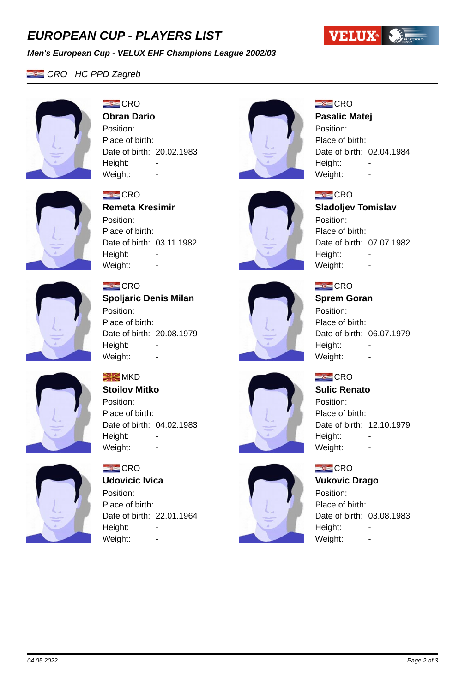# *EUROPEAN CUP - PLAYERS LIST*

### *Men's European Cup - VELUX EHF Champions League 2002/03*





### $E$ CRO **Obran Dario**

 $E = CRO$ 

Position:

Height:

Place of birth:

**Remeta Kresimir**

Date of birth: 03.11.1982

Position: Place of birth: Date of birth: 20.02.1983 Height: -Weight:





**Pasalic Matej**

Position: Place of birth: Date of birth: 02.04.1984 Height: Weight:

**VELUX West Linguist** 



# **Sladoljev Tomislav**

Position: Place of birth: Date of birth: 07.07.1982 Height: Weight: -



# $E = CRO$

Weight: -

**Spoljaric Denis Milan** Position: Place of birth: Date of birth: 20.08.1979 Height: Weight: -



# $E$ CRO **Sprem Goran** Position:

Place of birth: Date of birth: 06.07.1979 Height: Weight: -

# $E = CRO$

**Sulic Renato** Position: Place of birth: Date of birth: 12.10.1979

## $E$ CRO

## **Vukovic Drago**

Height: -Weight: -

Position: Place of birth: Date of birth: 03.08.1983 Height: Weight: -



# $\geq$  MKD

**Stoilov Mitko** Position: Place of birth: Date of birth: 04.02.1983 Height: Weight: -



# $=$  CRO

**Udovicic Ivica** Position: Place of birth: Date of birth: 22.01.1964 Height: Weight: -